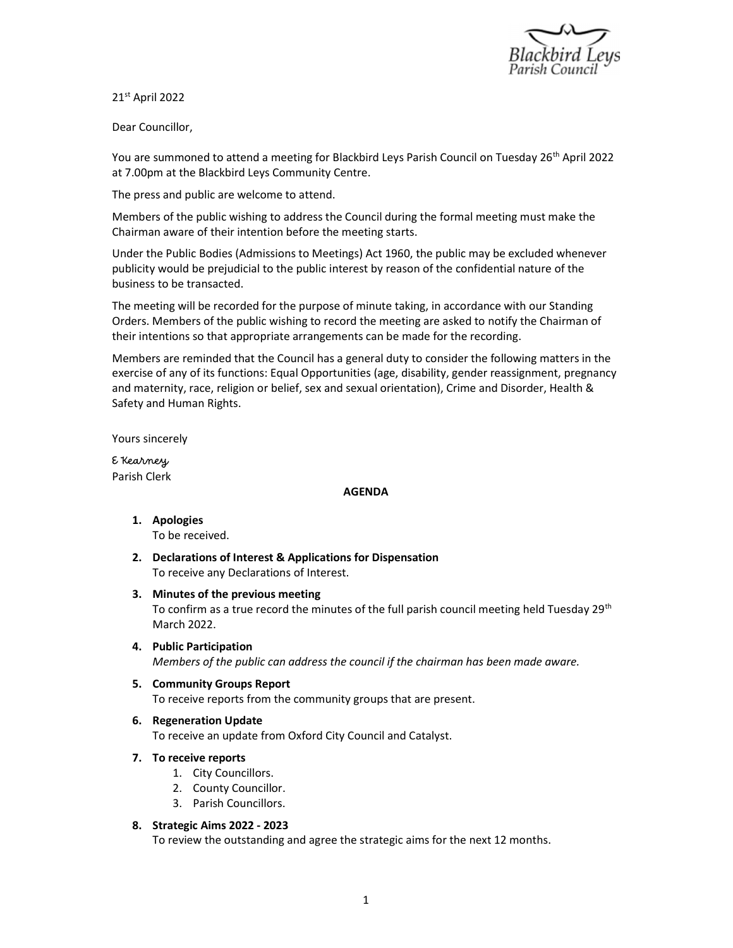

21st April 2022

Dear Councillor,

You are summoned to attend a meeting for Blackbird Leys Parish Council on Tuesday 26<sup>th</sup> April 2022 at 7.00pm at the Blackbird Leys Community Centre.

The press and public are welcome to attend.

Members of the public wishing to address the Council during the formal meeting must make the Chairman aware of their intention before the meeting starts.

Under the Public Bodies (Admissions to Meetings) Act 1960, the public may be excluded whenever publicity would be prejudicial to the public interest by reason of the confidential nature of the business to be transacted.

The meeting will be recorded for the purpose of minute taking, in accordance with our Standing Orders. Members of the public wishing to record the meeting are asked to notify the Chairman of their intentions so that appropriate arrangements can be made for the recording.

Members are reminded that the Council has a general duty to consider the following matters in the exercise of any of its functions: Equal Opportunities (age, disability, gender reassignment, pregnancy and maternity, race, religion or belief, sex and sexual orientation), Crime and Disorder, Health & Safety and Human Rights.

Yours sincerely

E Kearney Parish Clerk

## AGENDA

- 1. Apologies To be received.
- 2. Declarations of Interest & Applications for Dispensation To receive any Declarations of Interest.
- 3. Minutes of the previous meeting To confirm as a true record the minutes of the full parish council meeting held Tuesday 29<sup>th</sup> March 2022.
- 4. Public Participation Members of the public can address the council if the chairman has been made aware.
- 5. Community Groups Report To receive reports from the community groups that are present.
- 6. Regeneration Update

To receive an update from Oxford City Council and Catalyst.

- 7. To receive reports
	- 1. City Councillors.
	- 2. County Councillor.
	- 3. Parish Councillors.
- 8. Strategic Aims 2022 2023

To review the outstanding and agree the strategic aims for the next 12 months.